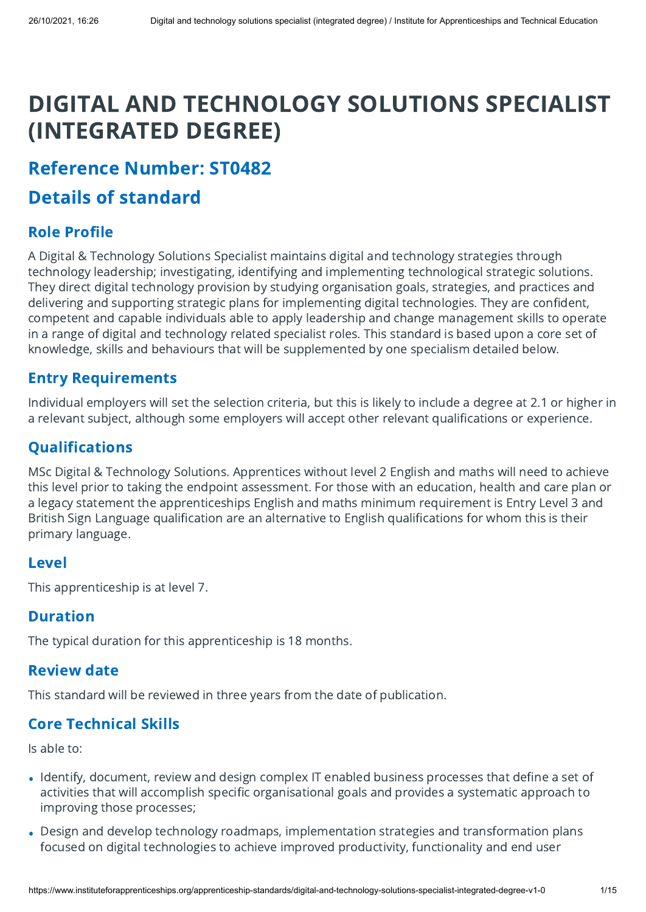# DIGITAL AND TECHNOLOGY SOLUTIONS SPECIALIST (INTEGRATED DEGREE)

## Reference Number: ST0482

## Details of standard

### Role Profile

A Digital & Technology Solutions Specialist maintains digital and technology strategies through technology leadership; investigating, identifying and implementing technological strategic solutions. They direct digital technology provision by studying organisation goals, strategies, and practices and delivering and supporting strategic plans for implementing digital technologies. They are confident, competent and capable individuals able to apply leadership and change management skills to operate in a range of digital and technology related specialist roles. This standard is based upon a core set of knowledge, skills and behaviours that will be supplemented by one specialism detailed below.

### Entry Requirements

Individual employers will set the selection criteria, but this is likely to include a degree at 2.1 or higher in a relevant subject, although some employers will accept other relevant qualifications or experience.

## Qualifications

MSc Digital & Technology Solutions. Apprentices without level 2 English and maths will need to achieve this level prior to taking the endpoint assessment. For those with an education, health and care plan or a legacy statement the apprenticeships English and maths minimum requirement is Entry Level 3 and British Sign Language qualification are an alternative to English qualifications for whom this is their primary language.

#### Level

This apprenticeship is at level 7.

### Duration

The typical duration for this apprenticeship is 18 months.

## Review date

This standard will be reviewed in three years from the date of publication.

## Core Technical Skills

Is able to: •

- Identify, document, review and design complex IT enabled business processes that define a set of activities that will accomplish specific organisational goals and provides a systematic approach to improving those processes;
- Design and develop technology roadmaps, implementation strategies and transformation plans focused on digital technologies to achieve improved productivity, functionality and end user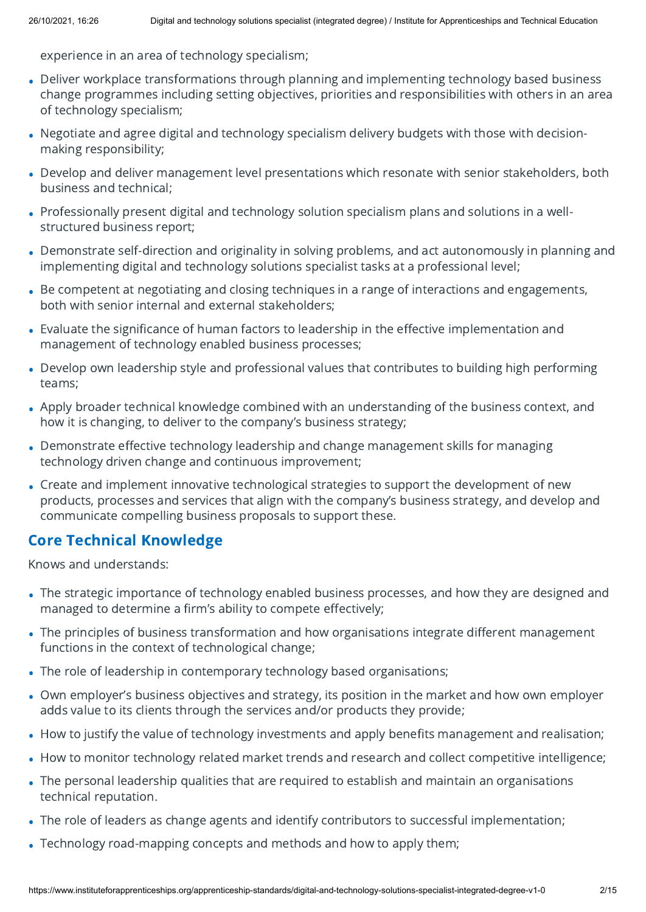experience in an area of technology specialism;

- Deliver workplace transformations through planning and implementing technology based business change programmes including setting objectives, priorities and responsibilities with others in an area of technology specialism;
- Negotiate and agree digital and technology specialism delivery budgets with those with decisionmaking responsibility;
- Develop and deliver management level presentations which resonate with senior stakeholders, both business and technical;
- Professionally present digital and technology solution specialism plans and solutions in a wellstructured business report;
- Demonstrate self-direction and originality in solving problems, and act autonomously in planning and implementing digital and technology solutions specialist tasks at a professional level;
- Be competent at negotiating and closing techniques in a range of interactions and engagements, both with senior internal and external stakeholders;
- Evaluate the significance of human factors to leadership in the effective implementation and management of technology enabled business processes;
- Develop own leadership style and professional values that contributes to building high performing teams;
- Apply broader technical knowledge combined with an understanding of the business context, and how it is changing, to deliver to the company's business strategy;
- Demonstrate effective technology leadership and change management skills for managing technology driven change and continuous improvement;
- Create and implement innovative technological strategies to support the development of new products, processes and services that align with the company's business strategy, and develop and communicate compelling business proposals to support these.

### Core Technical Knowledge

Knows and understands: •

- The strategic importance of technology enabled business processes, and how they are designed and managed to determine a firm's ability to compete effectively;
- The principles of business transformation and how organisations integrate different management functions in the context of technological change;
- Tunctions in the context of technological change;<br>• The role of leadership in contemporary technology based organisations;
- Own employer's business objectives and strategy, its position in the market and how own employer adds value to its clients through the services and/or products they provide;
- How to justify the value of technology investments and apply benefits management and realisation; •
- How to justify the value of technology investments and apply benefits management and realisation;<br>How to monitor technology related market trends and research and collect competitive intelligence;
- The personal leadership qualities that are required to establish and maintain an organisations technical reputation.
- The role of leaders as change agents and identify contributors to successful implementation; •
- Technology road-mapping concepts and methods and how to apply them; •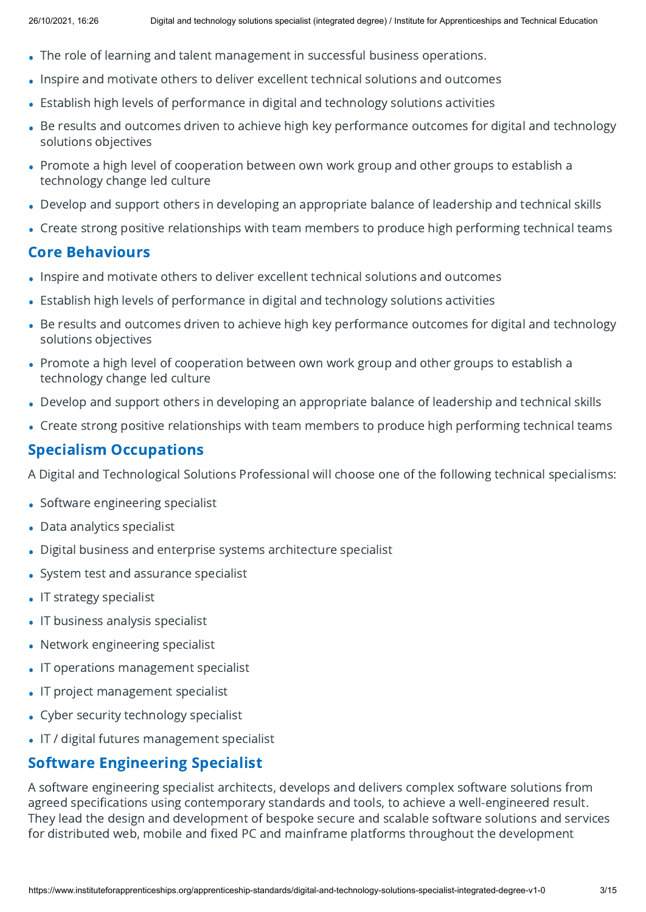- The role of learning and talent management in successful business operations. •
- Inspire and motivate others to deliver excellent technical solutions and outcomes •
- Finspire and motivate others to deliver excellent technical solutions and outcome:<br>• Establish high levels of performance in digital and technology solutions activities
- Be results and outcomes driven to achieve high key performance outcomes for digital and technology solutions objectives
- Promote a high level of cooperation between own work group and other groups to establish a technology change led culture
- Develop and support others in developing an appropriate balance of leadership and technical skills •
- Create strong positive relationships with team members to produce high performing technical teams •

#### Core Behaviours

- Inspire and motivate others to deliver excellent technical solutions and outcomes •
- Finspire and motivate others to deliver excellent technical solutions and outcome:<br>• Establish high levels of performance in digital and technology solutions activities
- Be results and outcomes driven to achieve high key performance outcomes for digital and technology solutions objectives
- Promote a high level of cooperation between own work group and other groups to establish a technology change led culture
- Develop and support others in developing an appropriate balance of leadership and technical skills •
- Create strong positive relationships with team members to produce high performing technical teams •

## Specialism Occupations

A Digital and Technological Solutions Professional will choose one of the following technical specialisms:

- Software engineering specialist
- Data analytics specialist
- Digital business and enterprise systems architecture specialist •
- System test and assurance specialist •
- IT strategy specialist
- IT business analysis specialist
- Network engineering specialist
- IT operations management specialist
- IT project management specialist
- Cyber security technology specialist •
- IT / digital futures management specialist

## Software Engineering Specialist

A software engineering specialist architects, develops and delivers complex software solutions from agreed specifications using contemporary standards and tools, to achieve a well-engineered result. They lead the design and development of bespoke secure and scalable software solutions and services for distributed web, mobile and fixed PC and mainframe platforms throughout the development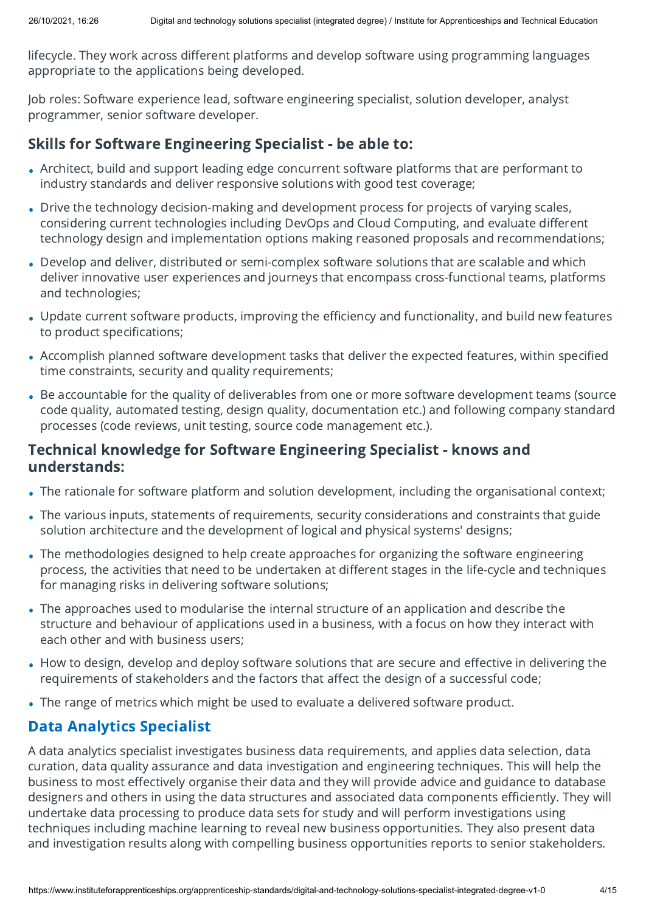lifecycle. They work across different platforms and develop software using programming languages appropriate to the applications being developed.

Job roles: Software experience lead, software engineering specialist, solution developer, analyst programmer, senior software developer.

# Skills for Software Engineering Specialist - be able to: •

- Architect, build and support leading edge concurrent software platforms that are performant to industry standards and deliver responsive solutions with good test coverage;
- Drive the technology decision-making and development process for projects of varying scales, considering current technologies including DevOps and Cloud Computing, and evaluate different technology design and implementation options making reasoned proposals and recommendations;
- Develop and deliver, distributed or semi-complex software solutions that are scalable and which deliver innovative user experiences and journeys that encompass cross-functional teams, platforms and technologies;
- Update current software products, improving the efficiency and functionality, and build new features to product specifications;
- Accomplish planned software development tasks that deliver the expected features, within specified time constraints, security and quality requirements;
- Be accountable for the quality of deliverables from one or more software development teams (source code quality, automated testing, design quality, documentation etc.) and following company standard processes (code reviews, unit testing, source code management etc.).

#### Technical knowledge for Software Engineering Specialist - knows and understands:

- **under Stands:**<br>• The rationale for software platform and solution development, including the organisational context;
- The various inputs, statements of requirements, security considerations and constraints that guide solution architecture and the development of logical and physical systems' designs;
- The methodologies designed to help create approaches for organizing the software engineering process, the activities that need to be undertaken at different stages in the life-cycle and techniques for managing risks in delivering software solutions;
- The approaches used to modularise the internal structure of an application and describe the structure and behaviour of applications used in a business, with a focus on how they interact with each other and with business users;
- How to design, develop and deploy software solutions that are secure and effective in delivering the requirements of stakeholders and the factors that affect the design of a successful code;
- The range of metrics which might be used to evaluate <sup>a</sup> delivered software product. •

## Data Analytics Specialist

A data analytics specialist investigates business data requirements, and applies data selection, data curation, data quality assurance and data investigation and engineering techniques. This will help the business to most effectively organise their data and they will provide advice and guidance to database designers and others in using the data structures and associated data components efficiently. They will undertake data processing to produce data sets for study and will perform investigations using techniques including machine learning to reveal new business opportunities. They also present data and investigation results along with compelling business opportunities reports to senior stakeholders.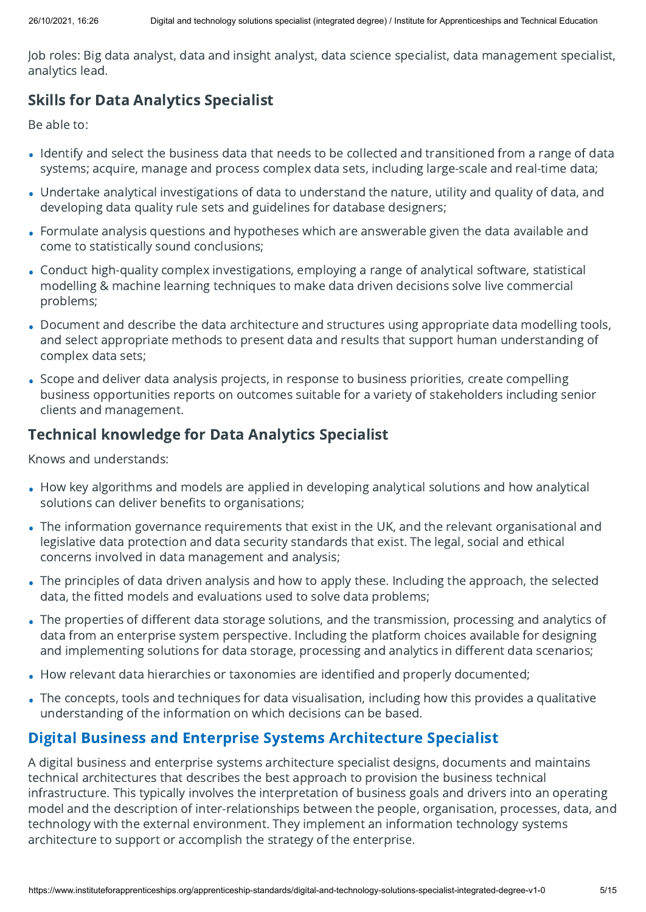Job roles: Big data analyst, data and insight analyst, data science specialist, data management specialist, analytics lead.

## Skills for Data Analytics Specialist

Be able to: •

- Identify and select the business data that needs to be collected and transitioned from a range of data systems; acquire, manage and process complex data sets, including large-scale and real-time data;
- Undertake analytical investigations of data to understand the nature, utility and quality of data, and developing data quality rule sets and guidelines for database designers;
- Formulate analysis questions and hypotheses which are answerable given the data available and come to statistically sound conclusions;
- Conduct high-quality complex investigations, employing a range of analytical software, statistical modelling & machine learning techniques to make data driven decisions solve live commercial problems;
- Document and describe the data architecture and structures using appropriate data modelling tools, and select appropriate methods to present data and results that support human understanding of complex data sets;
- Scope and deliver data analysis projects, in response to business priorities, create compelling business opportunities reports on outcomes suitable for a variety of stakeholders including senior clients and management.

## Technical knowledge for Data Analytics Specialist

Knows and understands: •

- How key algorithms and models are applied in developing analytical solutions and how analytical solutions can deliver benefits to organisations;
- The information governance requirements that exist in the UK, and the relevant organisational and legislative data protection and data security standards that exist. The legal, social and ethical concerns involved in data management and analysis;
- The principles of data driven analysis and how to apply these. Including the approach, the selected data, the fitted models and evaluations used to solve data problems;
- The properties of different data storage solutions, and the transmission, processing and analytics of data from an enterprise system perspective. Including the platform choices available for designing and implementing solutions for data storage, processing and analytics in different data scenarios;
- and implementing solutions for data storage, processing and analytics in different data<br>• How relevant data hierarchies or taxonomies are identified and properly documented;
- The concepts, tools and techniques for data visualisation, including how this provides a qualitative understanding of the information on which decisions can be based.

## Digital Business and Enterprise Systems Architecture Specialist

A digital business and enterprise systems architecture specialist designs, documents and maintains technical architectures that describes the best approach to provision the business technical infrastructure. This typically involves the interpretation of business goals and drivers into an operating model and the description of inter-relationships between the people, organisation, processes, data, and technology with the external environment. They implement an information technology systems architecture to support or accomplish the strategy of the enterprise.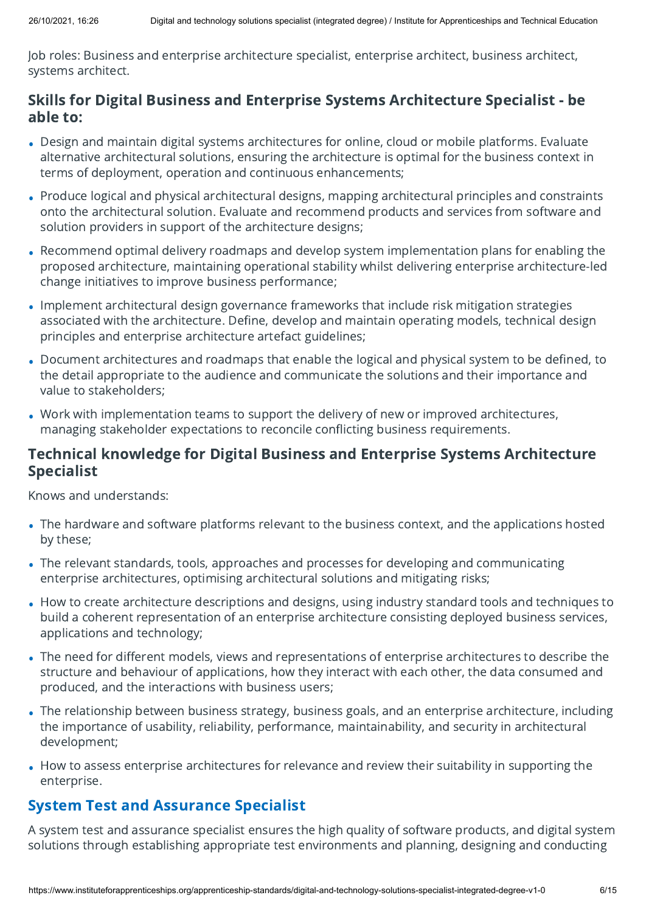Job roles: Business and enterprise architecture specialist, enterprise architect, business architect, systems architect.

## Skills for Digital Business and Enterprise Systems Architecture Specialist - be able to:

- Design and maintain digital systems architectures for online, cloud or mobile platforms. Evaluate alternative architectural solutions, ensuring the architecture is optimal for the business context in terms of deployment, operation and continuous enhancements;
- Produce logical and physical architectural designs, mapping architectural principles and constraints onto the architectural solution. Evaluate and recommend products and services from software and solution providers in support of the architecture designs;
- Recommend optimal delivery roadmaps and develop system implementation plans for enabling the proposed architecture, maintaining operational stability whilst delivering enterprise architecture-led change initiatives to improve business performance;
- Implement architectural design governance frameworks that include risk mitigation strategies associated with the architecture. Define, develop and maintain operating models, technical design principles and enterprise architecture artefact guidelines;
- Document architectures and roadmaps that enable the logical and physical system to be defined, to the detail appropriate to the audience and communicate the solutions and their importance and value to stakeholders;
- Work with implementation teams to support the delivery of new or improved architectures, managing stakeholder expectations to reconcile conflicting business requirements.

## Technical knowledge for Digital Business and Enterprise Systems Architecture Specialist

Knows and understands: •

- The hardware and software platforms relevant to the business context, and the applications hosted by these;
- The relevant standards, tools, approaches and processes for developing and communicating enterprise architectures, optimising architectural solutions and mitigating risks;
- How to create architecture descriptions and designs, using industry standard tools and techniques to build a coherent representation of an enterprise architecture consisting deployed business services, applications and technology;
- The need for different models, views and representations of enterprise architectures to describe the structure and behaviour of applications, how they interact with each other, the data consumed and produced, and the interactions with business users;
- The relationship between business strategy, business goals, and an enterprise architecture, including the importance of usability, reliability, performance, maintainability, and security in architectural development;
- How to assess enterprise architectures for relevance and review their suitability in supporting the enterprise.

## System Test and Assurance Specialist

A system test and assurance specialist ensures the high quality of software products, and digital system solutions through establishing appropriate test environments and planning, designing and conducting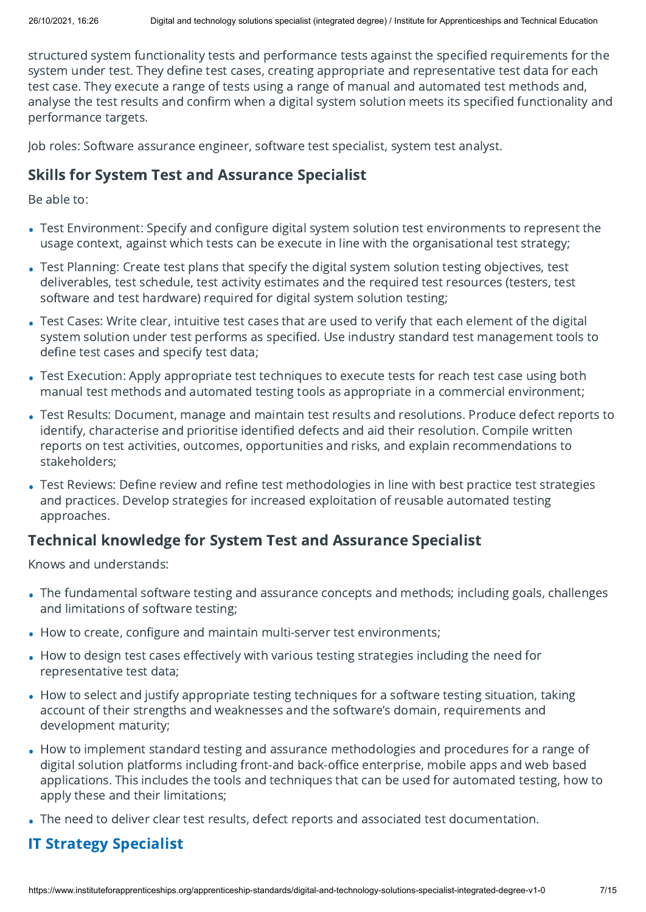structured system functionality tests and performance tests against the specified requirements for the system under test. They define test cases, creating appropriate and representative test data for each test case. They execute a range of tests using a range of manual and automated test methods and, analyse the test results and confirm when a digital system solution meets its specified functionality and performance targets.

Job roles: Software assurance engineer, software test specialist, system test analyst.

## Skills for System Test and Assurance Specialist

Be able to: •

- Test Environment: Specify and configure digital system solution test environments to represent the usage context, against which tests can be execute in line with the organisational test strategy;
- Test Planning: Create test plans that specify the digital system solution testing objectives, test deliverables, test schedule, test activity estimates and the required test resources (testers, test software and test hardware) required for digital system solution testing;
- Test Cases: Write clear, intuitive test cases that are used to verify that each element of the digital system solution under test performs as specified. Use industry standard test management tools to define test cases and specify test data;
- Test Execution: Apply appropriate test techniques to execute tests for reach test case using both manual test methods and automated testing tools as appropriate in a commercial environment;
- Test Results: Document, manage and maintain test results and resolutions. Produce defect reports to identify, characterise and prioritise identified defects and aid their resolution. Compile written reports on test activities, outcomes, opportunities and risks, and explain recommendations to stakeholders;
- Test Reviews: Define review and refine test methodologies in line with best practice test strategies and practices. Develop strategies for increased exploitation of reusable automated testing approaches.

### Technical knowledge for System Test and Assurance Specialist

Knows and understands: •

- The fundamental software testing and assurance concepts and methods; including goals, challenges and limitations of software testing;
- and limitations or software testing;<br>• How to create, configure and maintain multi-server test environments;
- How to design test cases effectively with various testing strategies including the need for representative test data;
- How to select and justify appropriate testing techniques for a software testing situation, taking account of their strengths and weaknesses and the software's domain, requirements and development maturity;
- How to implement standard testing and assurance methodologies and procedures for a range of digital solution platforms including front-and back-office enterprise, mobile apps and web based applications. This includes the tools and techniques that can be used for automated testing, how to apply these and their limitations;
- The need to deliver clear test results, defect reports and associated test documentation. •

### IT Strategy Specialist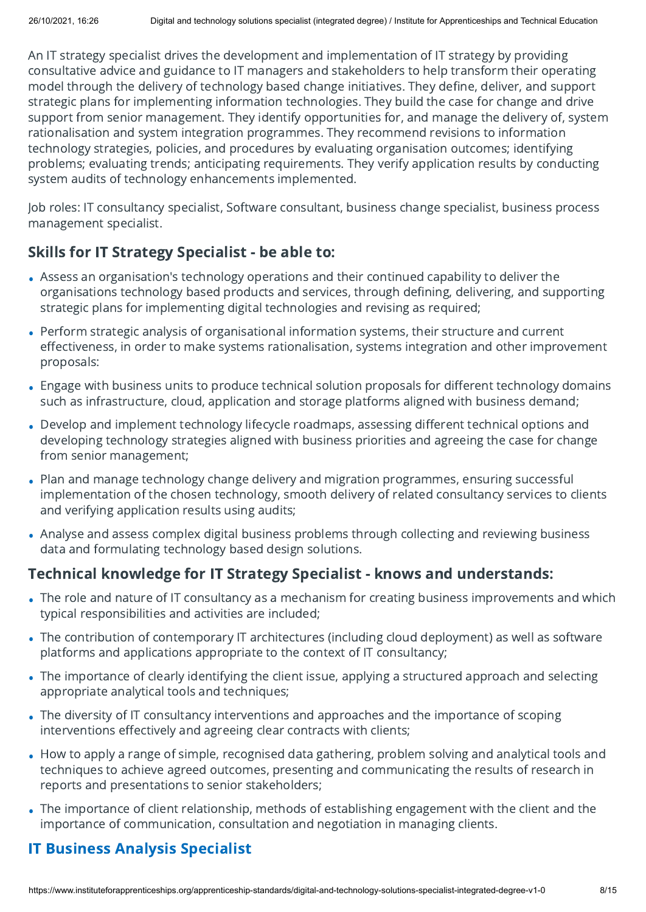An IT strategy specialist drives the development and implementation of IT strategy by providing consultative advice and guidance to IT managers and stakeholders to help transform their operating model through the delivery of technology based change initiatives. They define, deliver, and support strategic plans for implementing information technologies. They build the case for change and drive support from senior management. They identify opportunities for, and manage the delivery of, system rationalisation and system integration programmes. They recommend revisions to information technology strategies, policies, and procedures by evaluating organisation outcomes; identifying problems; evaluating trends; anticipating requirements. They verify application results by conducting system audits of technology enhancements implemented.

Job roles: IT consultancy specialist, Software consultant, business change specialist, business process management specialist.

# Skills for IT Strategy Specialist - be able to: •

- Assess an organisation's technology operations and their continued capability to deliver the organisations technology based products and services, through defining, delivering, and supporting strategic plans for implementing digital technologies and revising as required;
- Perform strategic analysis of organisational information systems, their structure and current effectiveness, in order to make systems rationalisation, systems integration and other improvement proposals:
- Engage with business units to produce technical solution proposals for different technology domains such as infrastructure, cloud, application and storage platforms aligned with business demand;
- Develop and implement technology lifecycle roadmaps, assessing different technical options and developing technology strategies aligned with business priorities and agreeing the case for change from senior management;
- Plan and manage technology change delivery and migration programmes, ensuring successful implementation of the chosen technology, smooth delivery of related consultancy services to clients and verifying application results using audits;
- Analyse and assess complex digital business problems through collecting and reviewing business data and formulating technology based design solutions.

# Technical knowledge for IT Strategy Specialist - knows and understands: •

- The role and nature of IT consultancy as a mechanism for creating business improvements and which typical responsibilities and activities are included;
- The contribution of contemporary IT architectures (including cloud deployment) as well as software platforms and applications appropriate to the context of IT consultancy;
- The importance of clearly identifying the client issue, applying a structured approach and selecting appropriate analytical tools and techniques;
- The diversity of IT consultancy interventions and approaches and the importance of scoping interventions effectively and agreeing clear contracts with clients;
- How to apply a range of simple, recognised data gathering, problem solving and analytical tools and techniques to achieve agreed outcomes, presenting and communicating the results of research in reports and presentations to senior stakeholders;
- The importance of client relationship, methods of establishing engagement with the client and the importance of communication, consultation and negotiation in managing clients.

## IT Business Analysis Specialist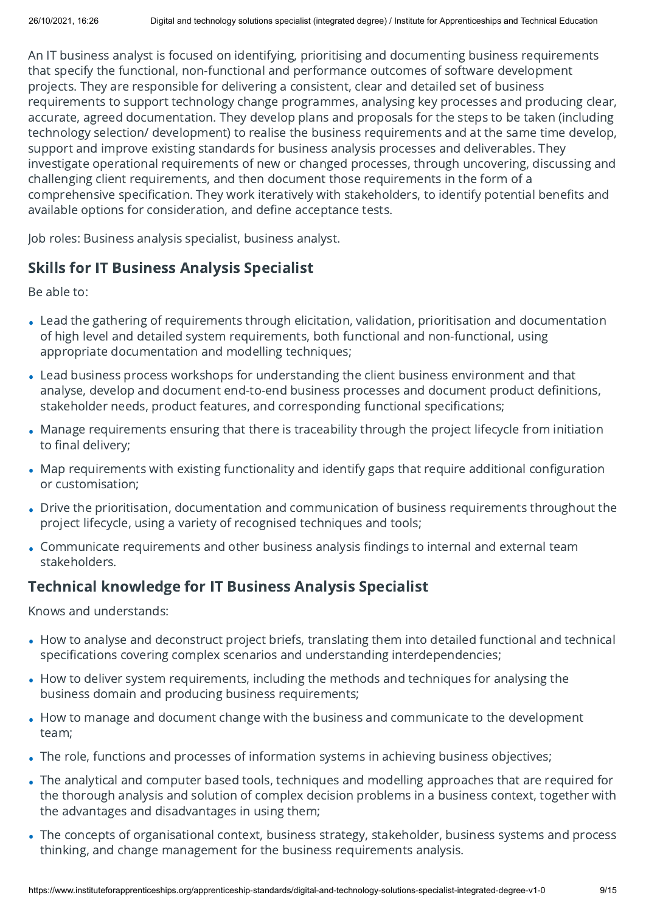An IT business analyst is focused on identifying, prioritising and documenting business requirements that specify the functional, non-functional and performance outcomes of software development projects. They are responsible for delivering a consistent, clear and detailed set of business requirements to support technology change programmes, analysing key processes and producing clear, accurate, agreed documentation. They develop plans and proposals for the steps to be taken (including technology selection/ development) to realise the business requirements and at the same time develop, support and improve existing standards for business analysis processes and deliverables. They investigate operational requirements of new or changed processes, through uncovering, discussing and challenging client requirements, and then document those requirements in the form of a comprehensive specification. They work iteratively with stakeholders, to identify potential benefits and available options for consideration, and define acceptance tests.

Job roles: Business analysis specialist, business analyst.

## Skills for IT Business Analysis Specialist

Be able to: •

- Lead the gathering of requirements through elicitation, validation, prioritisation and documentation of high level and detailed system requirements, both functional and non-functional, using appropriate documentation and modelling techniques;
- Lead business process workshops for understanding the client business environment and that analyse, develop and document end-to-end business processes and document product definitions, stakeholder needs, product features, and corresponding functional specifications;
- Manage requirements ensuring that there is traceability through the project lifecycle from initiation to final delivery;
- Map requirements with existing functionality and identify gaps that require additional configuration or customisation;
- Drive the prioritisation, documentation and communication of business requirements throughout the project lifecycle, using a variety of recognised techniques and tools;
- Communicate requirements and other business analysis findings to internal and external team stakeholders.

## Technical knowledge for IT Business Analysis Specialist

Knows and understands: •

- How to analyse and deconstruct project briefs, translating them into detailed functional and technical specifications covering complex scenarios and understanding interdependencies;
- How to deliver system requirements, including the methods and techniques for analysing the business domain and producing business requirements;
- How to manage and document change with the business and communicate to the development team;
- team;<br>• The role, functions and processes of information systems in achieving business objectives;
- The analytical and computer based tools, techniques and modelling approaches that are required for the thorough analysis and solution of complex decision problems in a business context, together with the advantages and disadvantages in using them;
- The concepts of organisational context, business strategy, stakeholder, business systems and process thinking, and change management for the business requirements analysis.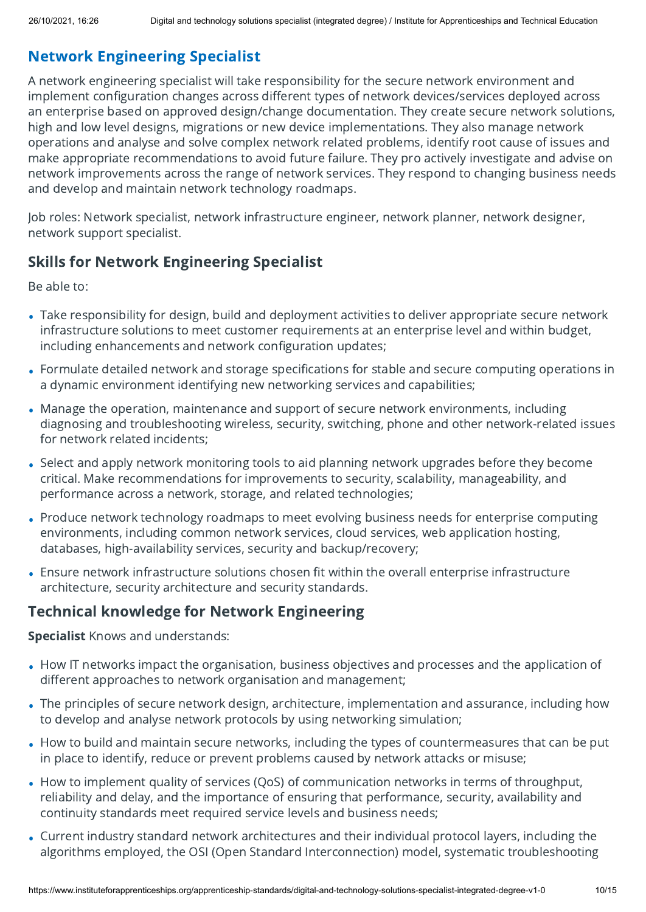## Network Engineering Specialist

A network engineering specialist will take responsibility for the secure network environment and implement configuration changes across different types of network devices/services deployed across an enterprise based on approved design/change documentation. They create secure network solutions, high and low level designs, migrations or new device implementations. They also manage network operations and analyse and solve complex network related problems, identify root cause of issues and make appropriate recommendations to avoid future failure. They pro actively investigate and advise on network improvements across the range of network services. They respond to changing business needs and develop and maintain network technology roadmaps.

Job roles: Network specialist, network infrastructure engineer, network planner, network designer, network support specialist.

## Skills for Network Engineering Specialist

Be able to: •

- Take responsibility for design, build and deployment activities to deliver appropriate secure network infrastructure solutions to meet customer requirements at an enterprise level and within budget, including enhancements and network configuration updates;
- Formulate detailed network and storage specifications for stable and secure computing operations in a dynamic environment identifying new networking services and capabilities;
- Manage the operation, maintenance and support of secure network environments, including diagnosing and troubleshooting wireless, security, switching, phone and other network-related issues for network related incidents;
- Select and apply network monitoring tools to aid planning network upgrades before they become critical. Make recommendations for improvements to security, scalability, manageability, and performance across a network, storage, and related technologies;
- Produce network technology roadmaps to meet evolving business needs for enterprise computing environments, including common network services, cloud services, web application hosting, databases, high-availability services, security and backup/recovery;
- Ensure network infrastructure solutions chosen fit within the overall enterprise infrastructure architecture, security architecture and security standards.

### Technical knowledge for Network Engineering

**Specialist** Knows and understands:<br>**Specialist** 

- How IT networks impact the organisation, business objectives and processes and the application of different approaches to network organisation and management;
- The principles of secure network design, architecture, implementation and assurance, including how to develop and analyse network protocols by using networking simulation;
- How to build and maintain secure networks, including the types of countermeasures that can be put in place to identify, reduce or prevent problems caused by network attacks or misuse;
- How to implement quality of services (QoS) of communication networks in terms of throughput, reliability and delay, and the importance of ensuring that performance, security, availability and continuity standards meet required service levels and business needs;
- Current industry standard network architectures and their individual protocol layers, including the algorithms employed, the OSI (Open Standard Interconnection) model, systematic troubleshooting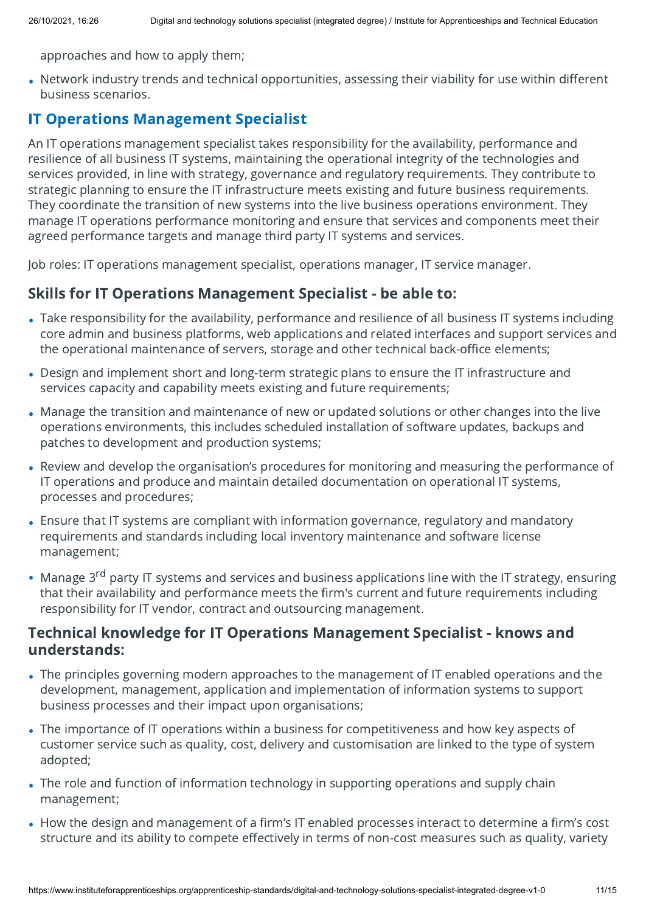approaches and how to apply them;

Network industry trends and technical opportunities, assessing their viability for use within different business scenarios.

## IT Operations Management Specialist

An IT operations management specialist takes responsibility for the availability, performance and resilience of all business IT systems, maintaining the operational integrity of the technologies and services provided, in line with strategy, governance and regulatory requirements. They contribute to strategic planning to ensure the IT infrastructure meets existing and future business requirements. They coordinate the transition of new systems into the live business operations environment. They manage IT operations performance monitoring and ensure that services and components meet their agreed performance targets and manage third party IT systems and services.

Job roles: IT operations management specialist, operations manager, IT service manager.

# Skills for IT Operations Management Specialist - be able to: •

- Take responsibility for the availability, performance and resilience of all business IT systems including core admin and business platforms, web applications and related interfaces and support services and the operational maintenance of servers, storage and other technical back-office elements;
- Design and implement short and long-term strategic plans to ensure the IT infrastructure and services capacity and capability meets existing and future requirements;
- Manage the transition and maintenance of new or updated solutions or other changes into the live operations environments, this includes scheduled installation of software updates, backups and patches to development and production systems;
- Review and develop the organisation's procedures for monitoring and measuring the performance of IT operations and produce and maintain detailed documentation on operational IT systems, processes and procedures;
- Ensure that IT systems are compliant with information governance, regulatory and mandatory requirements and standards including local inventory maintenance and software license management;
- Manage 3<sup>rd</sup> party IT systems and services and business applications line with the IT strategy, ensuring that their availability and performance meets the firm's current and future requirements including responsibility for IT vendor, contract and outsourcing management.

## Technical knowledge for IT Operations Management Specialist - knows and understands: •

- The principles governing modern approaches to the management of IT enabled operations and the development, management, application and implementation of information systems to support business processes and their impact upon organisations;
- The importance of IT operations within a business for competitiveness and how key aspects of customer service such as quality, cost, delivery and customisation are linked to the type of system adopted;
- The role and function of information technology in supporting operations and supply chain management;
- How the design and management of a firm's IT enabled processes interact to determine a firm's cost structure and its ability to compete effectively in terms of non-cost measures such as quality, variety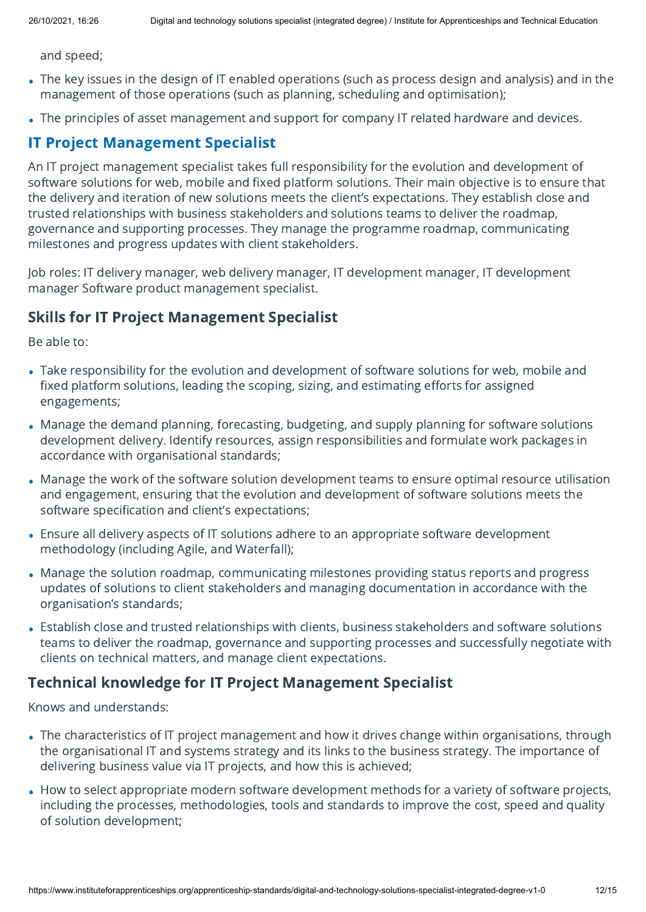and speed;

- The key issues in the design of IT enabled operations (such as process design and analysis) and in the management of those operations (such as planning, scheduling and optimisation);
- The principles of asset management and support for company IT related hardware and devices. •

## IT Project Management Specialist

An IT project management specialist takes full responsibility for the evolution and development of software solutions for web, mobile and fixed platform solutions. Their main objective is to ensure that the delivery and iteration of new solutions meets the client's expectations. They establish close and trusted relationships with business stakeholders and solutions teams to deliver the roadmap, governance and supporting processes. They manage the programme roadmap, communicating milestones and progress updates with client stakeholders.

Job roles: IT delivery manager, web delivery manager, IT development manager, IT development manager Software product management specialist.

## Skills for IT Project Management Specialist

Be able to: •

- Take responsibility for the evolution and development of software solutions for web, mobile and fixed platform solutions, leading the scoping, sizing, and estimating efforts for assigned engagements;
- Manage the demand planning, forecasting, budgeting, and supply planning for software solutions development delivery. Identify resources, assign responsibilities and formulate work packages in accordance with organisational standards;
- Manage the work of the software solution development teams to ensure optimal resource utilisation and engagement, ensuring that the evolution and development of software solutions meets the software specification and client's expectations;
- Ensure all delivery aspects of IT solutions adhere to an appropriate software development methodology (including Agile, and Waterfall);
- Manage the solution roadmap, communicating milestones providing status reports and progress updates of solutions to client stakeholders and managing documentation in accordance with the organisation's standards;
- Establish close and trusted relationships with clients, business stakeholders and software solutions teams to deliver the roadmap, governance and supporting processes and successfully negotiate with clients on technical matters, and manage client expectations.

### Technical knowledge for IT Project Management Specialist

Knows and understands: •

- The characteristics of IT project management and how it drives change within organisations, through the organisational IT and systems strategy and its links to the business strategy. The importance of delivering business value via IT projects, and how this is achieved;
- How to select appropriate modern software development methods for a variety of software projects, including the processes, methodologies, tools and standards to improve the cost, speed and quality of solution development;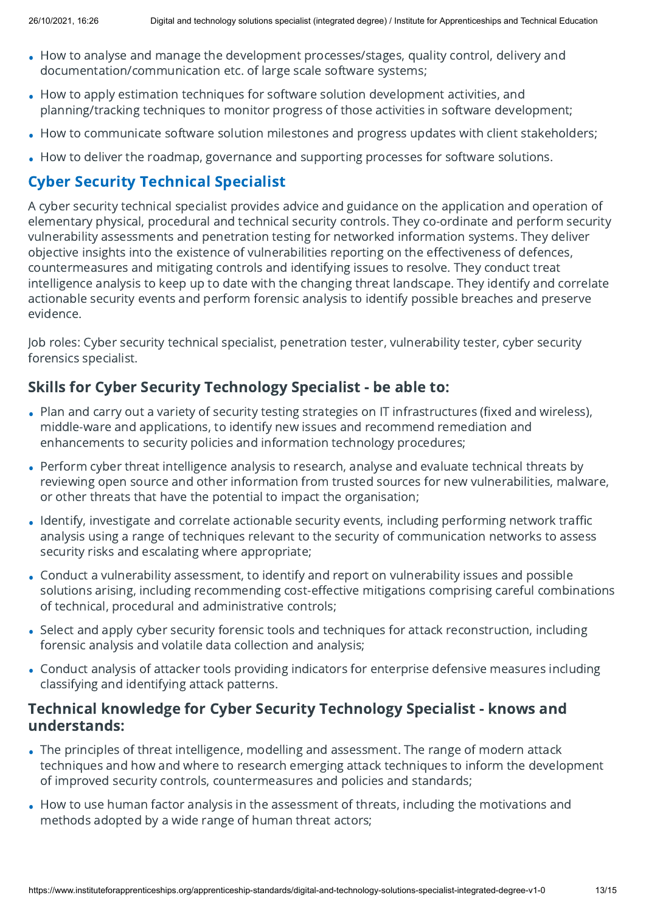- How to analyse and manage the development processes/stages, quality control, delivery and documentation/communication etc. of large scale software systems;
- How to apply estimation techniques for software solution development activities, and planning/tracking techniques to monitor progress of those activities in software development;
- How to communicate software solution milestones and progress updates with client stakeholders; •
- How to deliver the roadmap, governance and supporting processes for software solutions. •

## Cyber Security Technical Specialist

A cyber security technical specialist provides advice and guidance on the application and operation of elementary physical, procedural and technical security controls. They co-ordinate and perform security vulnerability assessments and penetration testing for networked information systems. They deliver objective insights into the existence of vulnerabilities reporting on the effectiveness of defences, countermeasures and mitigating controls and identifying issues to resolve. They conduct treat intelligence analysis to keep up to date with the changing threat landscape. They identify and correlate actionable security events and perform forensic analysis to identify possible breaches and preserve evidence.

Job roles: Cyber security technical specialist, penetration tester, vulnerability tester, cyber security forensics specialist.

# Skills for Cyber Security Technology Specialist - be able to: •

- Plan and carry out a variety of security testing strategies on IT infrastructures (fixed and wireless), middle-ware and applications, to identify new issues and recommend remediation and enhancements to security policies and information technology procedures;
- Perform cyber threat intelligence analysis to research, analyse and evaluate technical threats by reviewing open source and other information from trusted sources for new vulnerabilities, malware, or other threats that have the potential to impact the organisation;
- Identify, investigate and correlate actionable security events, including performing network traffic analysis using a range of techniques relevant to the security of communication networks to assess security risks and escalating where appropriate;
- Conduct a vulnerability assessment, to identify and report on vulnerability issues and possible solutions arising, including recommending cost-effective mitigations comprising careful combinations of technical, procedural and administrative controls;
- Select and apply cyber security forensic tools and techniques for attack reconstruction, including forensic analysis and volatile data collection and analysis;
- Conduct analysis of attacker tools providing indicators for enterprise defensive measures including classifying and identifying attack patterns.

## Technical knowledge for Cyber Security Technology Specialist - knows and understands: •

- The principles of threat intelligence, modelling and assessment. The range of modern attack techniques and how and where to research emerging attack techniques to inform the development of improved security controls, countermeasures and policies and standards;
- How to use human factor analysis in the assessment of threats, including the motivations and methods adopted by a wide range of human threat actors;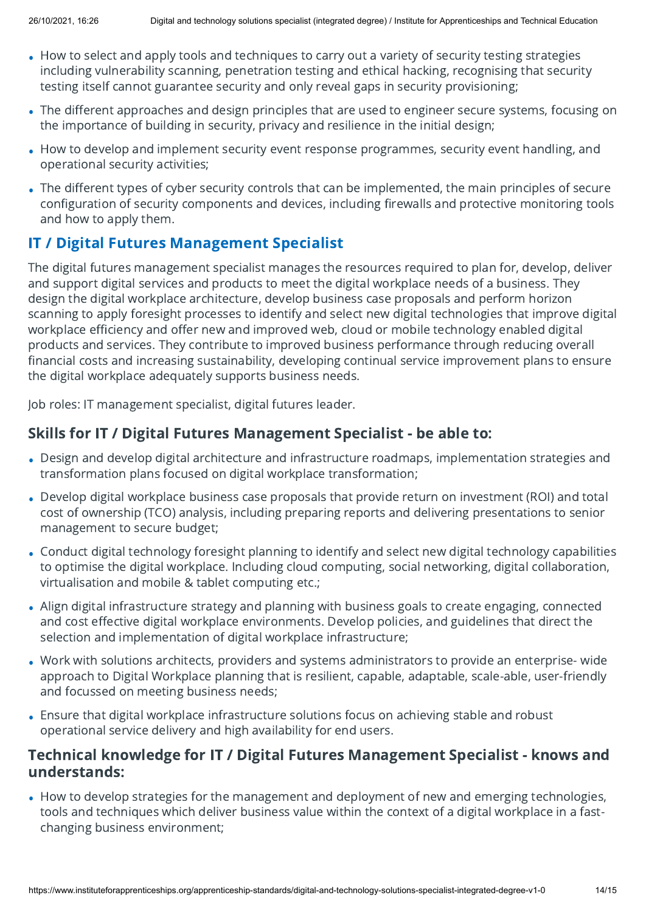- How to select and apply tools and techniques to carry out a variety of security testing strategies including vulnerability scanning, penetration testing and ethical hacking, recognising that security testing itself cannot guarantee security and only reveal gaps in security provisioning;
- The different approaches and design principles that are used to engineer secure systems, focusing on the importance of building in security, privacy and resilience in the initial design;
- How to develop and implement security event response programmes, security event handling, and operational security activities;
- The different types of cyber security controls that can be implemented, the main principles of secure configuration of security components and devices, including firewalls and protective monitoring tools and how to apply them.

## IT / Digital Futures Management Specialist

The digital futures management specialist manages the resources required to plan for, develop, deliver and support digital services and products to meet the digital workplace needs of a business. They design the digital workplace architecture, develop business case proposals and perform horizon scanning to apply foresight processes to identify and select new digital technologies that improve digital workplace efficiency and offer new and improved web, cloud or mobile technology enabled digital products and services. They contribute to improved business performance through reducing overall financial costs and increasing sustainability, developing continual service improvement plans to ensure the digital workplace adequately supports business needs.

Job roles: IT management specialist, digital futures leader.

# Skills for IT / Digital Futures Management Specialist - be able to: •

- Design and develop digital architecture and infrastructure roadmaps, implementation strategies and transformation plans focused on digital workplace transformation;
- Develop digital workplace business case proposals that provide return on investment (ROI) and total cost of ownership (TCO) analysis, including preparing reports and delivering presentations to senior management to secure budget;
- Conduct digital technology foresight planning to identify and select new digital technology capabilities to optimise the digital workplace. Including cloud computing, social networking, digital collaboration, virtualisation and mobile & tablet computing etc.;
- Align digital infrastructure strategy and planning with business goals to create engaging, connected and cost effective digital workplace environments. Develop policies, and guidelines that direct the selection and implementation of digital workplace infrastructure;
- Work with solutions architects, providers and systems administrators to provide an enterprise- wide approach to Digital Workplace planning that is resilient, capable, adaptable, scale-able, user-friendly and focussed on meeting business needs;
- Ensure that digital workplace infrastructure solutions focus on achieving stable and robust operational service delivery and high availability for end users.

## Technical knowledge for IT / Digital Futures Management Specialist - knows and understands: •

How to develop strategies for the management and deployment of new and emerging technologies, tools and techniques which deliver business value within the context of a digital workplace in a fastchanging business environment;